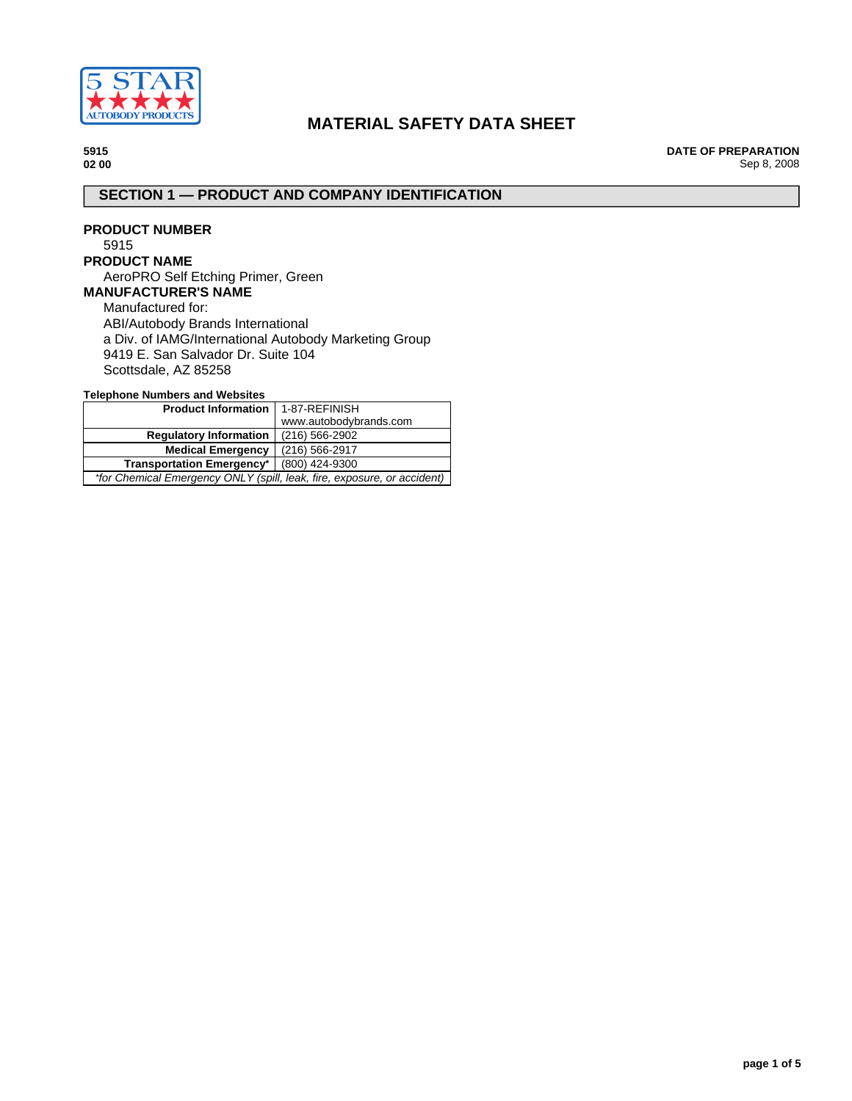

# **MATERIAL SAFETY DATA SHEET**

**5915 02 00** **DATE OF PREPARATION** Sep 8, 2008

# **SECTION 1 — PRODUCT AND COMPANY IDENTIFICATION**

## **PRODUCT NUMBER** 5915

# **PRODUCT NAME**

AeroPRO Self Etching Primer, Green **MANUFACTURER'S NAME**

# Manufactured for:

ABI/Autobody Brands International a Div. of IAMG/International Autobody Marketing Group 9419 E. San Salvador Dr. Suite 104 Scottsdale, AZ 85258

**Telephone Numbers and Websites**

| Product Information   1-87-REFINISH                                     |                        |  |
|-------------------------------------------------------------------------|------------------------|--|
|                                                                         | www.autobodybrands.com |  |
| <b>Regulatory Information</b>                                           | $(216)$ 566-2902       |  |
| <b>Medical Emergency</b>                                                | (216) 566-2917         |  |
| <b>Transportation Emergency*</b>                                        | (800) 424-9300         |  |
| *for Chemical Emergency ONLY (spill, leak, fire, exposure, or accident) |                        |  |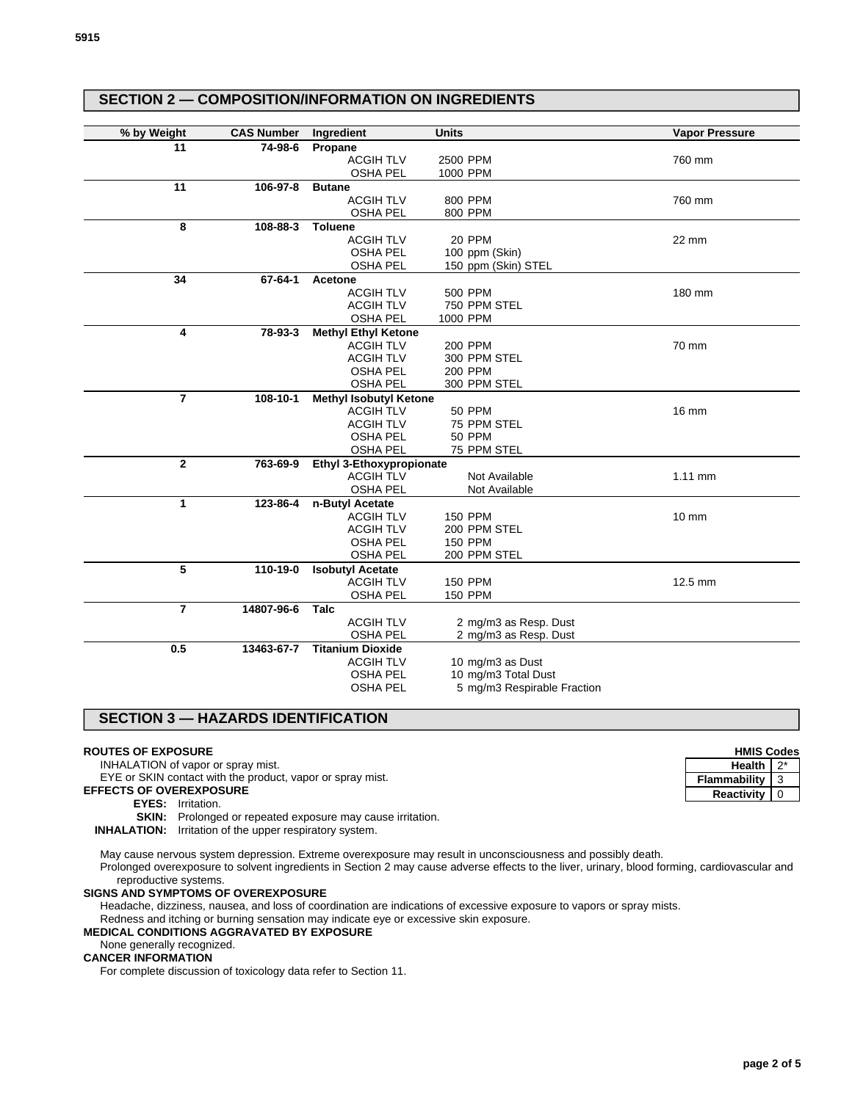| % by Weight    | <b>CAS Number</b> | Ingredient                                  | <b>Units</b>                   | <b>Vapor Pressure</b> |
|----------------|-------------------|---------------------------------------------|--------------------------------|-----------------------|
| 11             | 74-98-6           |                                             |                                |                       |
|                |                   | Propane<br><b>ACGIH TLV</b>                 | 2500 PPM                       | 760 mm                |
|                |                   | <b>OSHA PEL</b>                             | 1000 PPM                       |                       |
| 11             | 106-97-8          | <b>Butane</b>                               |                                |                       |
|                |                   | <b>ACGIH TLV</b>                            | 800 PPM                        | 760 mm                |
|                |                   | <b>OSHA PEL</b>                             | 800 PPM                        |                       |
| 8              | 108-88-3          | <b>Toluene</b>                              |                                |                       |
|                |                   | <b>ACGIH TLV</b>                            | 20 PPM                         | 22 mm                 |
|                |                   | <b>OSHA PEL</b>                             | 100 ppm (Skin)                 |                       |
|                |                   | <b>OSHA PEL</b>                             | 150 ppm (Skin) STEL            |                       |
| 34             | 67-64-1           | Acetone                                     |                                |                       |
|                |                   | <b>ACGIH TLV</b>                            | 500 PPM                        | 180 mm                |
|                |                   | <b>ACGIH TLV</b>                            | 750 PPM STEL                   |                       |
|                |                   | <b>OSHA PEL</b>                             | 1000 PPM                       |                       |
| 4              | 78-93-3           | <b>Methyl Ethyl Ketone</b>                  |                                |                       |
|                |                   | <b>ACGIH TLV</b>                            | 200 PPM                        | 70 mm                 |
|                |                   | <b>ACGIH TLV</b>                            | 300 PPM STEL                   |                       |
|                |                   | <b>OSHA PEL</b>                             | 200 PPM                        |                       |
|                |                   | <b>OSHA PEL</b>                             | 300 PPM STEL                   |                       |
| $\overline{7}$ | 108-10-1          | <b>Methyl Isobutyl Ketone</b>               |                                |                       |
|                |                   | <b>ACGIH TLV</b>                            | <b>50 PPM</b>                  | 16 mm                 |
|                |                   | <b>ACGIH TLV</b>                            | 75 PPM STEL                    |                       |
|                |                   | <b>OSHA PEL</b>                             | <b>50 PPM</b>                  |                       |
|                |                   | <b>OSHA PEL</b>                             | 75 PPM STEL                    |                       |
| $\overline{2}$ | 763-69-9          | Ethyl 3-Ethoxypropionate                    |                                |                       |
|                |                   | <b>ACGIH TLV</b>                            | Not Available                  | 1.11 mm               |
|                |                   | <b>OSHA PEL</b>                             | Not Available                  |                       |
| 1              | 123-86-4          | n-Butyl Acetate                             |                                |                       |
|                |                   | <b>ACGIH TLV</b>                            | <b>150 PPM</b>                 | 10 mm                 |
|                |                   | <b>ACGIH TLV</b>                            | 200 PPM STEL<br><b>150 PPM</b> |                       |
|                |                   | <b>OSHA PEL</b><br><b>OSHA PEL</b>          | 200 PPM STEL                   |                       |
| 5              |                   |                                             |                                |                       |
|                | 110-19-0          | <b>Isobutyl Acetate</b><br><b>ACGIH TLV</b> | <b>150 PPM</b>                 | 12.5 mm               |
|                |                   | <b>OSHA PEL</b>                             | <b>150 PPM</b>                 |                       |
| $\overline{7}$ | 14807-96-6        | Talc                                        |                                |                       |
|                |                   | <b>ACGIH TLV</b>                            | 2 mg/m3 as Resp. Dust          |                       |
|                |                   | <b>OSHA PEL</b>                             | 2 mg/m3 as Resp. Dust          |                       |
| 0.5            | 13463-67-7        | <b>Titanium Dioxide</b>                     |                                |                       |
|                |                   | <b>ACGIH TLV</b>                            | 10 mg/m3 as Dust               |                       |
|                |                   | <b>OSHA PEL</b>                             | 10 mg/m3 Total Dust            |                       |
|                |                   | <b>OSHA PEL</b>                             | 5 mg/m3 Respirable Fraction    |                       |

## **SECTION 3 — HAZARDS IDENTIFICATION**

#### **ROUTES OF EXPOSURE**

INHALATION of vapor or spray mist.

EYE or SKIN contact with the product, vapor or spray mist.

# **EFFECTS OF OVEREXPOSURE**

**EYES:** Irritation.

**SKIN:** Prolonged or repeated exposure may cause irritation.

**INHALATION:** Irritation of the upper respiratory system.

May cause nervous system depression. Extreme overexposure may result in unconsciousness and possibly death.

Prolonged overexposure to solvent ingredients in Section 2 may cause adverse effects to the liver, urinary, blood forming, cardiovascular and reproductive systems.

## **SIGNS AND SYMPTOMS OF OVEREXPOSURE**

Headache, dizziness, nausea, and loss of coordination are indications of excessive exposure to vapors or spray mists.

Redness and itching or burning sensation may indicate eye or excessive skin exposure.

**SECTION 2 — COMPOSITION/INFORMATION ON INGREDIENTS**

#### **MEDICAL CONDITIONS AGGRAVATED BY EXPOSURE**

# None generally recognized.

**CANCER INFORMATION**

For complete discussion of toxicology data refer to Section 11.

**HMIS Codes Health** 2<sup>\*</sup> **Flammability** 3 **Reactivity** 0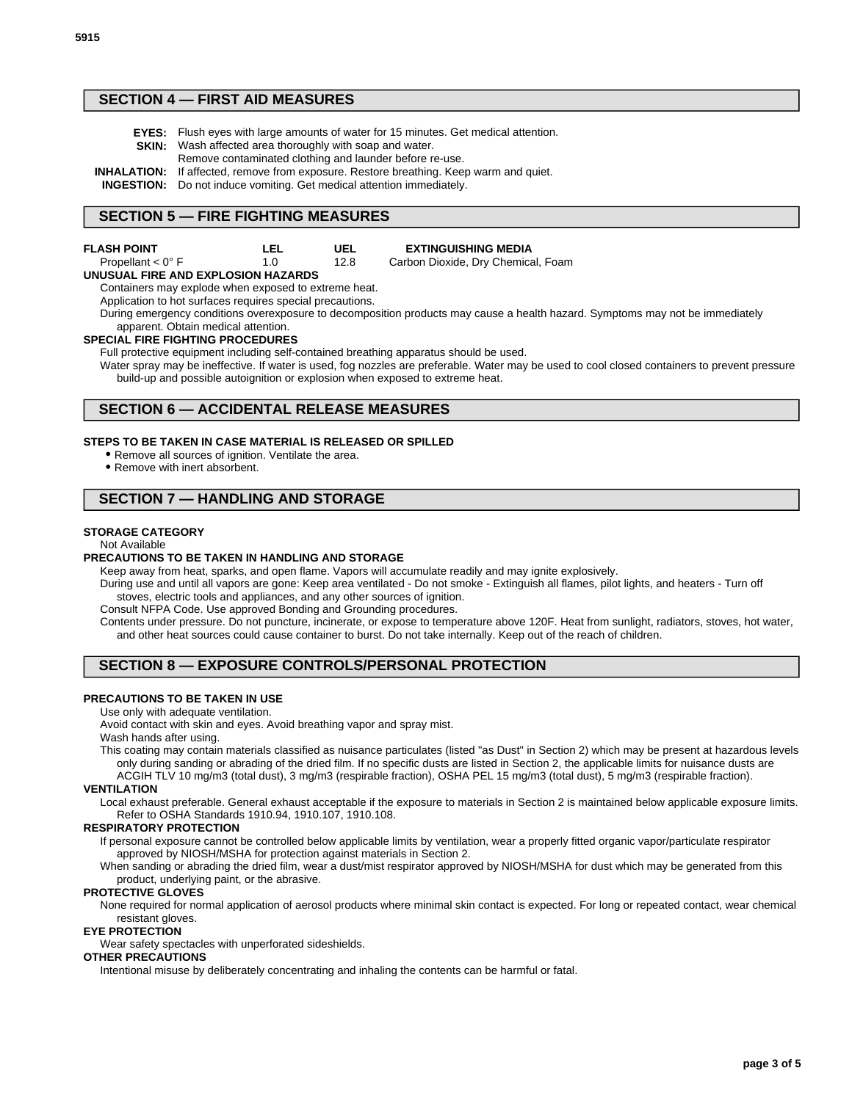# **SECTION 4 — FIRST AID MEASURES**

- **EYES:** Flush eyes with large amounts of water for 15 minutes. Get medical attention. **SKIN:** Wash affected area thoroughly with soap and water.
	- Remove contaminated clothing and launder before re-use.

**INHALATION:** If affected, remove from exposure. Restore breathing. Keep warm and quiet.

**INGESTION:** Do not induce vomiting. Get medical attention immediately.

## **SECTION 5 — FIRE FIGHTING MEASURES**

| FLASH POINT         | LEL | UEL  | <b>EXTINGUISHING MEDIA</b>         |
|---------------------|-----|------|------------------------------------|
| Propellant $< 0$ °F |     | 12.8 | Carbon Dioxide, Dry Chemical, Foam |

#### **UNUSUAL FIRE AND EXPLOSION HAZARDS**

Containers may explode when exposed to extreme heat.

Application to hot surfaces requires special precautions.

During emergency conditions overexposure to decomposition products may cause a health hazard. Symptoms may not be immediately apparent. Obtain medical attention.

#### **SPECIAL FIRE FIGHTING PROCEDURES**

Full protective equipment including self-contained breathing apparatus should be used.

Water spray may be ineffective. If water is used, fog nozzles are preferable. Water may be used to cool closed containers to prevent pressure build-up and possible autoignition or explosion when exposed to extreme heat.

## **SECTION 6 — ACCIDENTAL RELEASE MEASURES**

#### **STEPS TO BE TAKEN IN CASE MATERIAL IS RELEASED OR SPILLED**

Remove all sources of ignition. Ventilate the area.

• Remove with inert absorbent.

# **SECTION 7 — HANDLING AND STORAGE**

#### **STORAGE CATEGORY**

#### Not Available

#### **PRECAUTIONS TO BE TAKEN IN HANDLING AND STORAGE**

Keep away from heat, sparks, and open flame. Vapors will accumulate readily and may ignite explosively.

During use and until all vapors are gone: Keep area ventilated - Do not smoke - Extinguish all flames, pilot lights, and heaters - Turn off stoves, electric tools and appliances, and any other sources of ignition.

Consult NFPA Code. Use approved Bonding and Grounding procedures.

Contents under pressure. Do not puncture, incinerate, or expose to temperature above 120F. Heat from sunlight, radiators, stoves, hot water, and other heat sources could cause container to burst. Do not take internally. Keep out of the reach of children.

# **SECTION 8 — EXPOSURE CONTROLS/PERSONAL PROTECTION**

#### **PRECAUTIONS TO BE TAKEN IN USE**

Use only with adequate ventilation.

Avoid contact with skin and eyes. Avoid breathing vapor and spray mist.

Wash hands after using.

This coating may contain materials classified as nuisance particulates (listed "as Dust" in Section 2) which may be present at hazardous levels only during sanding or abrading of the dried film. If no specific dusts are listed in Section 2, the applicable limits for nuisance dusts are

ACGIH TLV 10 mg/m3 (total dust), 3 mg/m3 (respirable fraction), OSHA PEL 15 mg/m3 (total dust), 5 mg/m3 (respirable fraction). **VENTILATION**

Local exhaust preferable. General exhaust acceptable if the exposure to materials in Section 2 is maintained below applicable exposure limits. Refer to OSHA Standards 1910.94, 1910.107, 1910.108.

#### **RESPIRATORY PROTECTION**

If personal exposure cannot be controlled below applicable limits by ventilation, wear a properly fitted organic vapor/particulate respirator approved by NIOSH/MSHA for protection against materials in Section 2.

When sanding or abrading the dried film, wear a dust/mist respirator approved by NIOSH/MSHA for dust which may be generated from this product, underlying paint, or the abrasive.

#### **PROTECTIVE GLOVES**

None required for normal application of aerosol products where minimal skin contact is expected. For long or repeated contact, wear chemical resistant gloves.

#### **EYE PROTECTION**

Wear safety spectacles with unperforated sideshields.

#### **OTHER PRECAUTIONS**

Intentional misuse by deliberately concentrating and inhaling the contents can be harmful or fatal.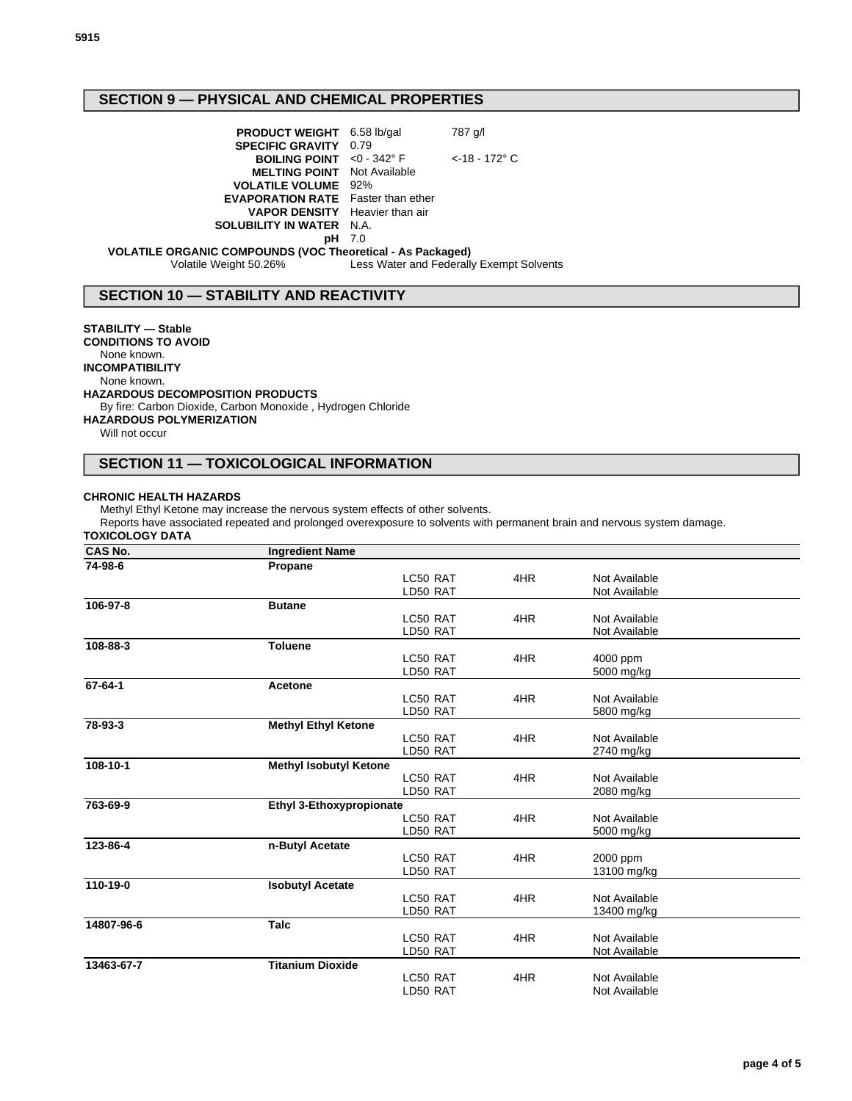# **SECTION 9 — PHYSICAL AND CHEMICAL PROPERTIES**

| <b>PRODUCT WEIGHT</b> 6.58 lb/gal                                 |               | 787 g/l                                  |  |
|-------------------------------------------------------------------|---------------|------------------------------------------|--|
| <b>SPECIFIC GRAVITY 0.79</b>                                      |               |                                          |  |
| <b>BOILING POINT</b> <0 - 342° F                                  |               | $<$ -18 - 172 $^{\circ}$ C               |  |
| <b>MELTING POINT</b> Not Available                                |               |                                          |  |
| <b>VOLATILE VOLUME</b> 92%                                        |               |                                          |  |
| <b>EVAPORATION RATE</b> Faster than ether                         |               |                                          |  |
| <b>VAPOR DENSITY</b> Heavier than air                             |               |                                          |  |
| <b>SOLUBILITY IN WATER N.A.</b>                                   |               |                                          |  |
|                                                                   | <b>pH</b> 7.0 |                                          |  |
| <b>VOLATILE ORGANIC COMPOUNDS (VOC Theoretical - As Packaged)</b> |               |                                          |  |
| Volatile Weight 50.26%                                            |               | Less Water and Federally Exempt Solvents |  |
|                                                                   |               |                                          |  |

# **SECTION 10 — STABILITY AND REACTIVITY**

## **STABILITY — Stable**

**CONDITIONS TO AVOID** None known. **INCOMPATIBILITY** None known.

**HAZARDOUS DECOMPOSITION PRODUCTS**

By fire: Carbon Dioxide, Carbon Monoxide , Hydrogen Chloride

## **HAZARDOUS POLYMERIZATION**

Will not occur

## **SECTION 11 — TOXICOLOGICAL INFORMATION**

#### **CHRONIC HEALTH HAZARDS**

Methyl Ethyl Ketone may increase the nervous system effects of other solvents.

Reports have associated repeated and prolonged overexposure to solvents with permanent brain and nervous system damage.

## **TOXICOLOGY DATA**

| <b>CAS No.</b> | <b>Ingredient Name</b>          |          |     |               |  |
|----------------|---------------------------------|----------|-----|---------------|--|
| 74-98-6        | Propane                         |          |     |               |  |
|                |                                 | LC50 RAT | 4HR | Not Available |  |
|                |                                 | LD50 RAT |     | Not Available |  |
| 106-97-8       | <b>Butane</b>                   |          |     |               |  |
|                |                                 | LC50 RAT | 4HR | Not Available |  |
|                |                                 | LD50 RAT |     | Not Available |  |
| 108-88-3       | <b>Toluene</b>                  |          |     |               |  |
|                |                                 | LC50 RAT | 4HR | 4000 ppm      |  |
|                |                                 | LD50 RAT |     | 5000 mg/kg    |  |
| 67-64-1        | Acetone                         |          |     |               |  |
|                |                                 | LC50 RAT | 4HR | Not Available |  |
|                |                                 | LD50 RAT |     | 5800 mg/kg    |  |
| 78-93-3        | <b>Methyl Ethyl Ketone</b>      |          |     |               |  |
|                |                                 | LC50 RAT | 4HR | Not Available |  |
|                |                                 | LD50 RAT |     | 2740 mg/kg    |  |
| 108-10-1       | <b>Methyl Isobutyl Ketone</b>   |          |     |               |  |
|                |                                 | LC50 RAT | 4HR | Not Available |  |
|                |                                 | LD50 RAT |     | 2080 mg/kg    |  |
| 763-69-9       | <b>Ethyl 3-Ethoxypropionate</b> |          |     |               |  |
|                |                                 | LC50 RAT | 4HR | Not Available |  |
|                |                                 | LD50 RAT |     | 5000 mg/kg    |  |
| 123-86-4       | n-Butyl Acetate                 |          |     |               |  |
|                |                                 | LC50 RAT | 4HR | 2000 ppm      |  |
|                |                                 | LD50 RAT |     | 13100 mg/kg   |  |
| 110-19-0       | <b>Isobutyl Acetate</b>         |          |     |               |  |
|                |                                 | LC50 RAT | 4HR | Not Available |  |
|                |                                 | LD50 RAT |     | 13400 mg/kg   |  |
| 14807-96-6     | Talc                            |          |     |               |  |
|                |                                 | LC50 RAT | 4HR | Not Available |  |
|                |                                 | LD50 RAT |     | Not Available |  |
| 13463-67-7     | <b>Titanium Dioxide</b>         |          |     |               |  |
|                |                                 | LC50 RAT | 4HR | Not Available |  |
|                |                                 | LD50 RAT |     | Not Available |  |